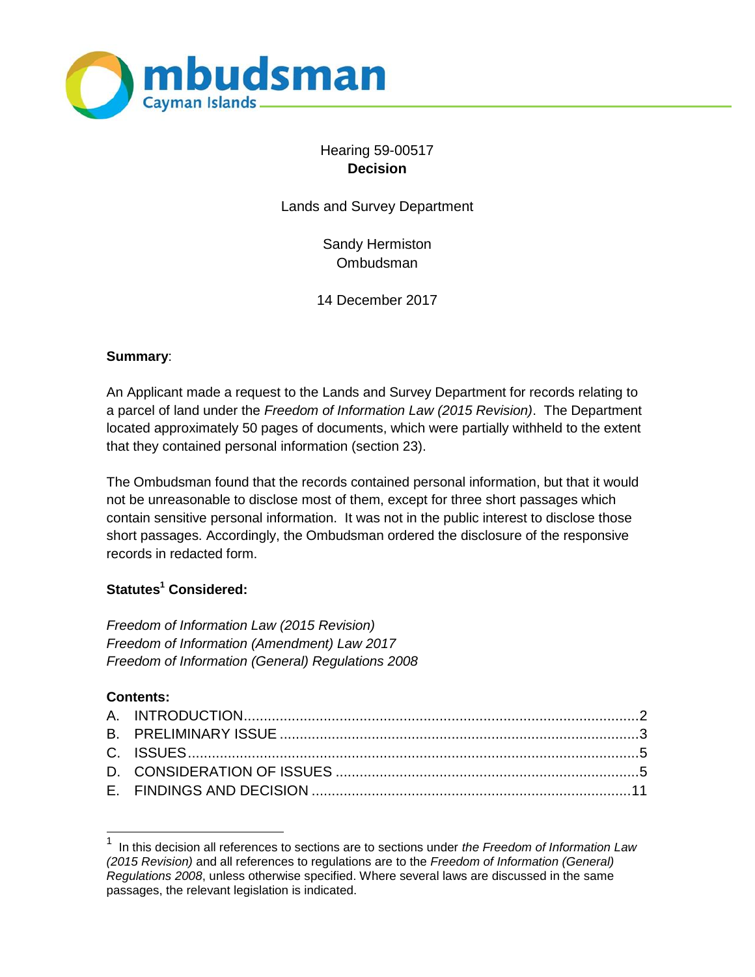

# Hearing 59-00517 **Decision**

Lands and Survey Department

Sandy Hermiston Ombudsman

14 December 2017

#### **Summary**:

An Applicant made a request to the Lands and Survey Department for records relating to a parcel of land under the *Freedom of Information Law (2015 Revision)*. The Department located approximately 50 pages of documents, which were partially withheld to the extent that they contained personal information (section 23).

The Ombudsman found that the records contained personal information, but that it would not be unreasonable to disclose most of them, except for three short passages which contain sensitive personal information. It was not in the public interest to disclose those short passages. Accordingly, the Ombudsman ordered the disclosure of the responsive records in redacted form.

## **Statutes<sup>1</sup> Considered:**

*Freedom of Information Law (2015 Revision) Freedom of Information (Amendment) Law 2017 Freedom of Information (General) Regulations 2008*

#### **Contents:**

l

<sup>1</sup> In this decision all references to sections are to sections under *the Freedom of Information Law (2015 Revision)* and all references to regulations are to the *Freedom of Information (General) Regulations 2008*, unless otherwise specified. Where several laws are discussed in the same passages, the relevant legislation is indicated.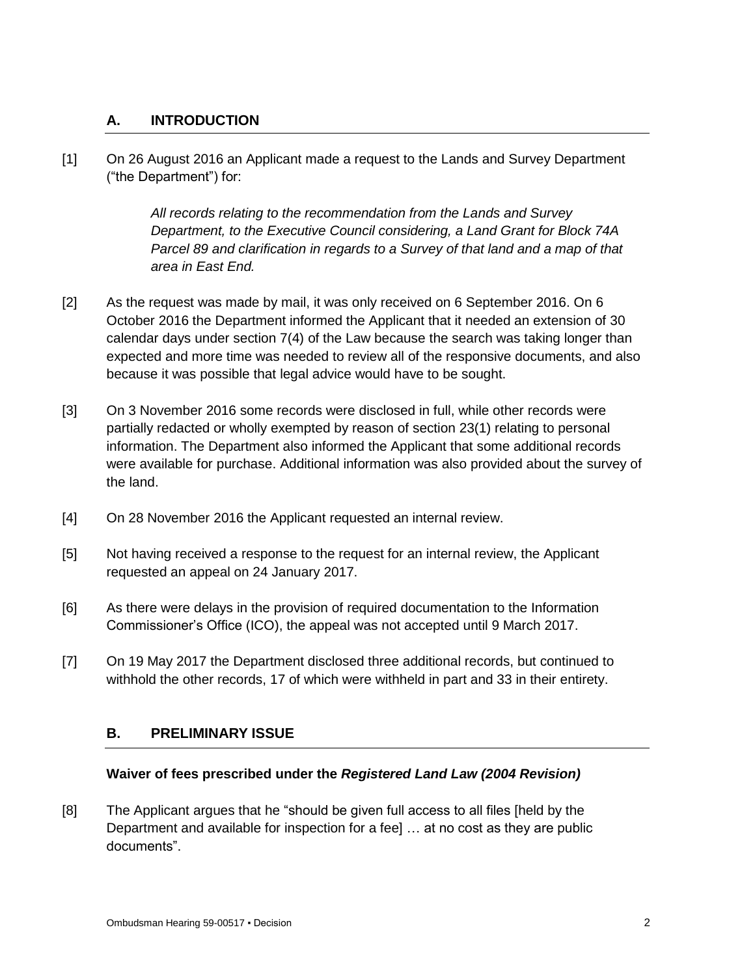### **A. INTRODUCTION**

[1] On 26 August 2016 an Applicant made a request to the Lands and Survey Department ("the Department") for:

> *All records relating to the recommendation from the Lands and Survey Department, to the Executive Council considering, a Land Grant for Block 74A Parcel 89 and clarification in regards to a Survey of that land and a map of that area in East End.*

- [2] As the request was made by mail, it was only received on 6 September 2016. On 6 October 2016 the Department informed the Applicant that it needed an extension of 30 calendar days under section 7(4) of the Law because the search was taking longer than expected and more time was needed to review all of the responsive documents, and also because it was possible that legal advice would have to be sought.
- [3] On 3 November 2016 some records were disclosed in full, while other records were partially redacted or wholly exempted by reason of section 23(1) relating to personal information. The Department also informed the Applicant that some additional records were available for purchase. Additional information was also provided about the survey of the land.
- [4] On 28 November 2016 the Applicant requested an internal review.
- [5] Not having received a response to the request for an internal review, the Applicant requested an appeal on 24 January 2017.
- [6] As there were delays in the provision of required documentation to the Information Commissioner's Office (ICO), the appeal was not accepted until 9 March 2017.
- [7] On 19 May 2017 the Department disclosed three additional records, but continued to withhold the other records, 17 of which were withheld in part and 33 in their entirety.

#### **B. PRELIMINARY ISSUE**

#### **Waiver of fees prescribed under the** *Registered Land Law (2004 Revision)*

[8] The Applicant argues that he "should be given full access to all files [held by the Department and available for inspection for a fee] … at no cost as they are public documents".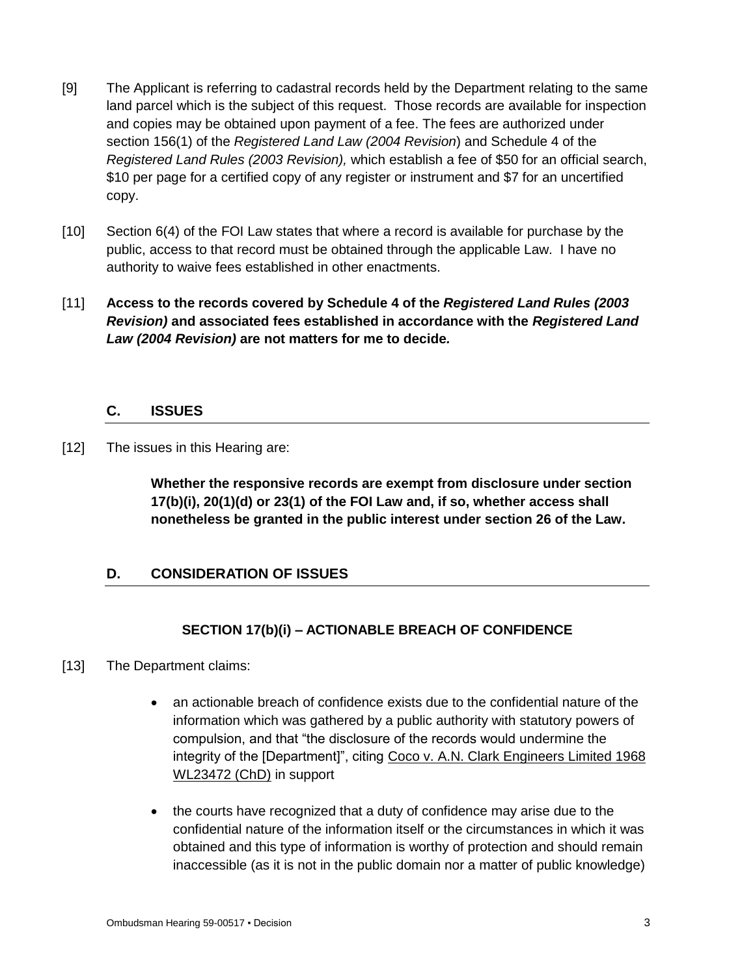- [9] The Applicant is referring to cadastral records held by the Department relating to the same land parcel which is the subject of this request. Those records are available for inspection and copies may be obtained upon payment of a fee. The fees are authorized under section 156(1) of the *Registered Land Law (2004 Revision*) and Schedule 4 of the *Registered Land Rules (2003 Revision),* which establish a fee of \$50 for an official search, \$10 per page for a certified copy of any register or instrument and \$7 for an uncertified copy.
- [10] Section 6(4) of the FOI Law states that where a record is available for purchase by the public, access to that record must be obtained through the applicable Law. I have no authority to waive fees established in other enactments.
- [11] **Access to the records covered by Schedule 4 of the** *Registered Land Rules (2003 Revision)* **and associated fees established in accordance with the** *Registered Land Law (2004 Revision)* **are not matters for me to decide***.*

## **C. ISSUES**

[12] The issues in this Hearing are:

**Whether the responsive records are exempt from disclosure under section 17(b)(i), 20(1)(d) or 23(1) of the FOI Law and, if so, whether access shall nonetheless be granted in the public interest under section 26 of the Law.**

# **D. CONSIDERATION OF ISSUES**

# **SECTION 17(b)(i) – ACTIONABLE BREACH OF CONFIDENCE**

- [13] The Department claims:
	- an actionable breach of confidence exists due to the confidential nature of the information which was gathered by a public authority with statutory powers of compulsion, and that "the disclosure of the records would undermine the integrity of the [Department]", citing Coco v. A.N. Clark Engineers Limited 1968 WL23472 (ChD) in support
	- the courts have recognized that a duty of confidence may arise due to the confidential nature of the information itself or the circumstances in which it was obtained and this type of information is worthy of protection and should remain inaccessible (as it is not in the public domain nor a matter of public knowledge)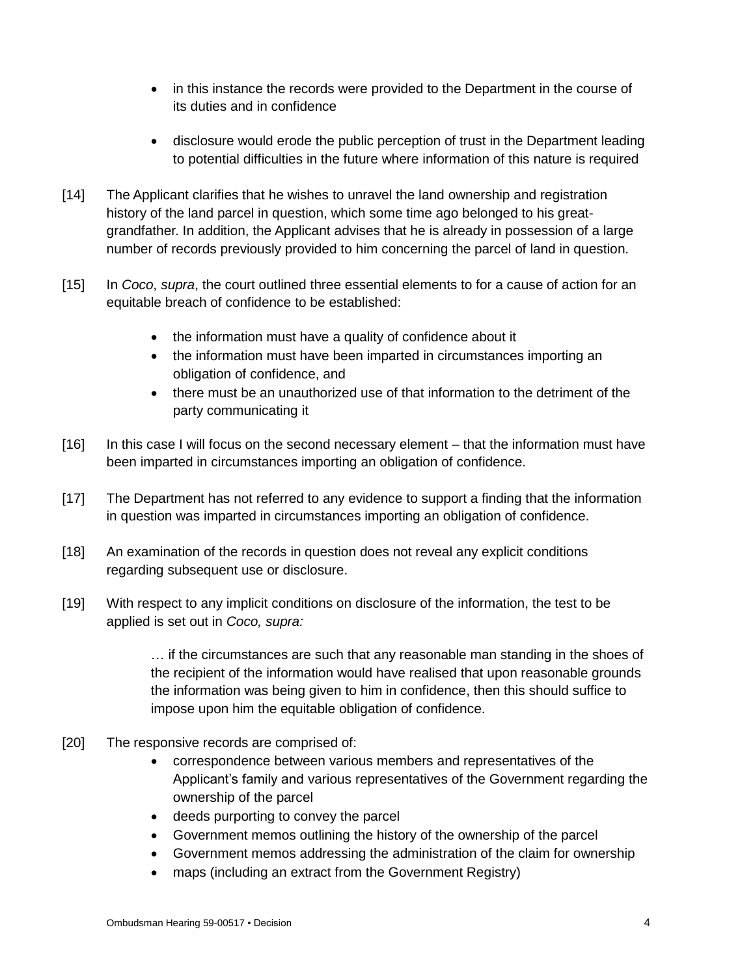- in this instance the records were provided to the Department in the course of its duties and in confidence
- disclosure would erode the public perception of trust in the Department leading to potential difficulties in the future where information of this nature is required
- [14] The Applicant clarifies that he wishes to unravel the land ownership and registration history of the land parcel in question, which some time ago belonged to his greatgrandfather. In addition, the Applicant advises that he is already in possession of a large number of records previously provided to him concerning the parcel of land in question.
- [15] In *Coco*, *supra*, the court outlined three essential elements to for a cause of action for an equitable breach of confidence to be established:
	- the information must have a quality of confidence about it
	- the information must have been imparted in circumstances importing an obligation of confidence, and
	- there must be an unauthorized use of that information to the detriment of the party communicating it
- [16] In this case I will focus on the second necessary element that the information must have been imparted in circumstances importing an obligation of confidence.
- [17] The Department has not referred to any evidence to support a finding that the information in question was imparted in circumstances importing an obligation of confidence.
- [18] An examination of the records in question does not reveal any explicit conditions regarding subsequent use or disclosure.
- [19] With respect to any implicit conditions on disclosure of the information, the test to be applied is set out in *Coco, supra:*

… if the circumstances are such that any reasonable man standing in the shoes of the recipient of the information would have realised that upon reasonable grounds the information was being given to him in confidence, then this should suffice to impose upon him the equitable obligation of confidence.

- [20] The responsive records are comprised of:
	- correspondence between various members and representatives of the Applicant's family and various representatives of the Government regarding the ownership of the parcel
	- deeds purporting to convey the parcel
	- Government memos outlining the history of the ownership of the parcel
	- Government memos addressing the administration of the claim for ownership
	- maps (including an extract from the Government Registry)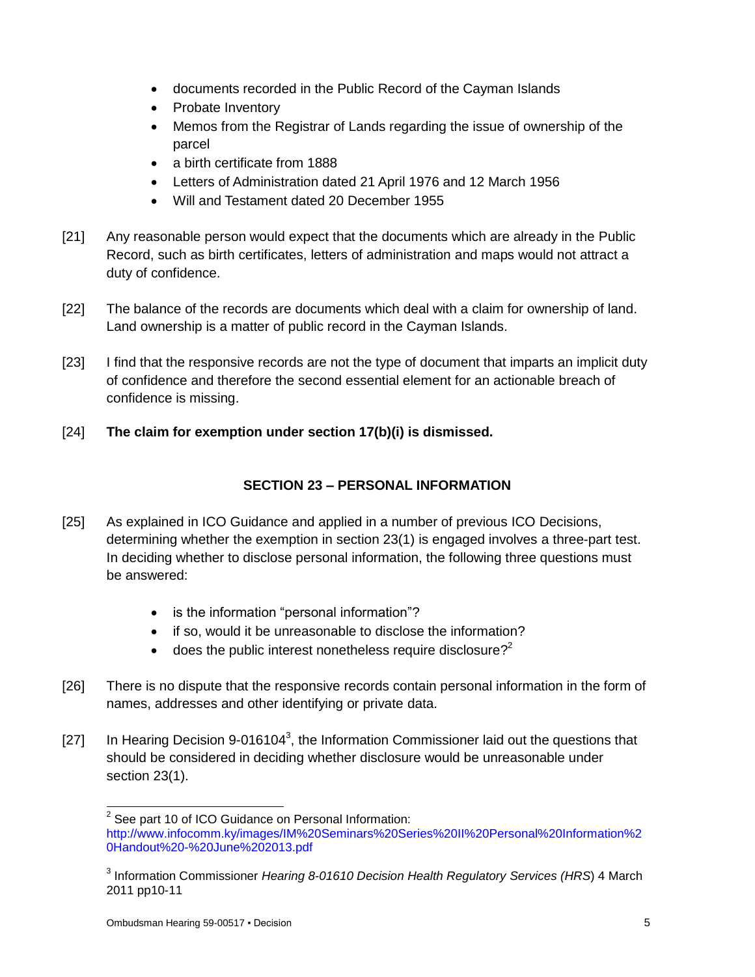- documents recorded in the Public Record of the Cayman Islands
- Probate Inventory
- Memos from the Registrar of Lands regarding the issue of ownership of the parcel
- a birth certificate from 1888
- Letters of Administration dated 21 April 1976 and 12 March 1956
- Will and Testament dated 20 December 1955
- [21] Any reasonable person would expect that the documents which are already in the Public Record, such as birth certificates, letters of administration and maps would not attract a duty of confidence.
- [22] The balance of the records are documents which deal with a claim for ownership of land. Land ownership is a matter of public record in the Cayman Islands.
- [23] I find that the responsive records are not the type of document that imparts an implicit duty of confidence and therefore the second essential element for an actionable breach of confidence is missing.
- [24] **The claim for exemption under section 17(b)(i) is dismissed.**

## **SECTION 23 – PERSONAL INFORMATION**

- [25] As explained in ICO Guidance and applied in a number of previous ICO Decisions, determining whether the exemption in section 23(1) is engaged involves a three-part test. In deciding whether to disclose personal information, the following three questions must be answered:
	- is the information "personal information"?
	- if so, would it be unreasonable to disclose the information?
	- $\bullet$  does the public interest nonetheless require disclosure?<sup>2</sup>
- [26] There is no dispute that the responsive records contain personal information in the form of names, addresses and other identifying or private data.
- [27] In Hearing Decision 9-016104<sup>3</sup>, the Information Commissioner laid out the questions that should be considered in deciding whether disclosure would be unreasonable under section 23(1).

 2 See part 10 of ICO Guidance on Personal Information:

http://www.infocomm.ky/images/IM%20Seminars%20Series%20II%20Personal%20Information%2 0Handout%20-%20June%202013.pdf

<sup>3</sup> Information Commissioner *Hearing 8-01610 Decision Health Regulatory Services (HRS*) 4 March 2011 pp10-11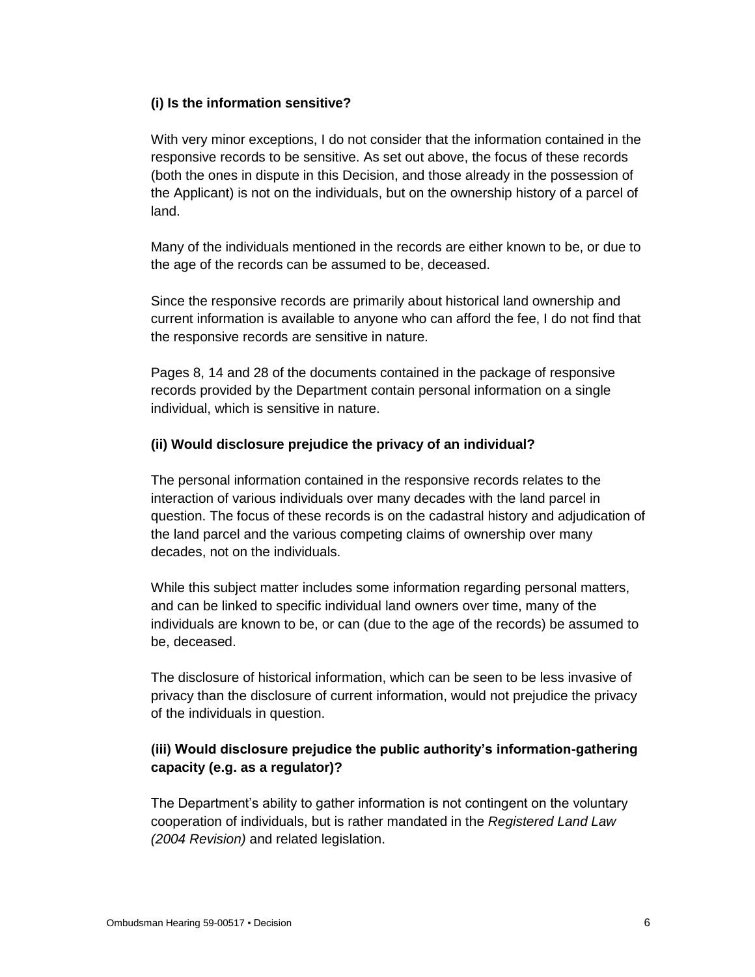#### **(i) Is the information sensitive?**

With very minor exceptions, I do not consider that the information contained in the responsive records to be sensitive. As set out above, the focus of these records (both the ones in dispute in this Decision, and those already in the possession of the Applicant) is not on the individuals, but on the ownership history of a parcel of land.

Many of the individuals mentioned in the records are either known to be, or due to the age of the records can be assumed to be, deceased.

Since the responsive records are primarily about historical land ownership and current information is available to anyone who can afford the fee, I do not find that the responsive records are sensitive in nature.

Pages 8, 14 and 28 of the documents contained in the package of responsive records provided by the Department contain personal information on a single individual, which is sensitive in nature.

#### **(ii) Would disclosure prejudice the privacy of an individual?**

The personal information contained in the responsive records relates to the interaction of various individuals over many decades with the land parcel in question. The focus of these records is on the cadastral history and adjudication of the land parcel and the various competing claims of ownership over many decades, not on the individuals.

While this subject matter includes some information regarding personal matters, and can be linked to specific individual land owners over time, many of the individuals are known to be, or can (due to the age of the records) be assumed to be, deceased.

The disclosure of historical information, which can be seen to be less invasive of privacy than the disclosure of current information, would not prejudice the privacy of the individuals in question.

## **(iii) Would disclosure prejudice the public authority's information-gathering capacity (e.g. as a regulator)?**

The Department's ability to gather information is not contingent on the voluntary cooperation of individuals, but is rather mandated in the *Registered Land Law (2004 Revision)* and related legislation.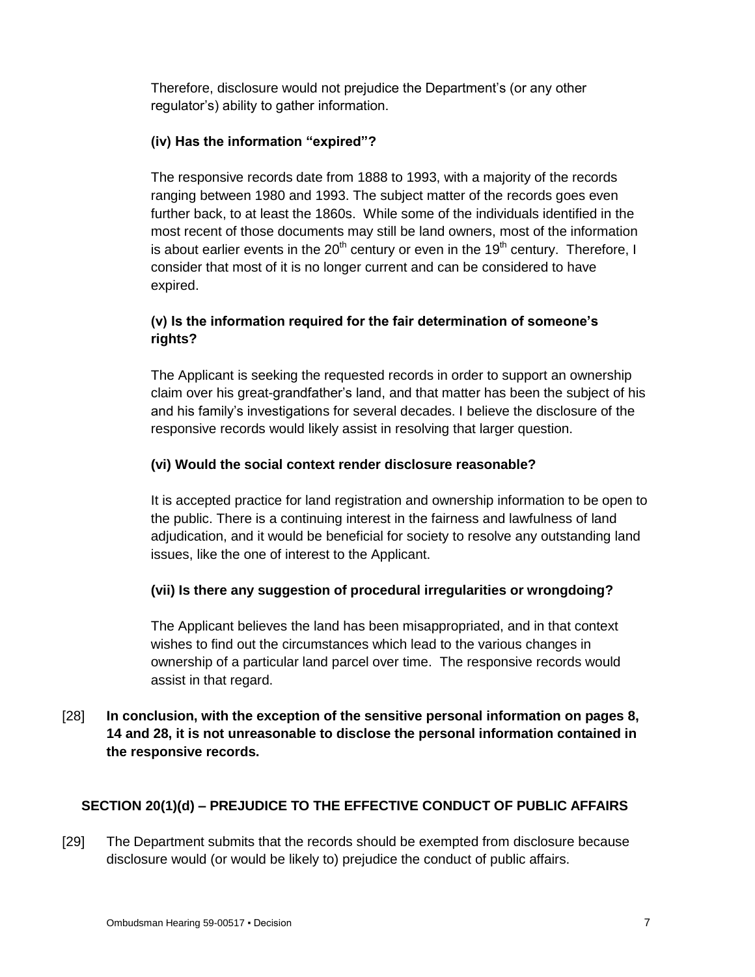Therefore, disclosure would not prejudice the Department's (or any other regulator's) ability to gather information.

### **(iv) Has the information "expired"?**

The responsive records date from 1888 to 1993, with a majority of the records ranging between 1980 and 1993. The subject matter of the records goes even further back, to at least the 1860s. While some of the individuals identified in the most recent of those documents may still be land owners, most of the information is about earlier events in the  $20<sup>th</sup>$  century or even in the 19<sup>th</sup> century. Therefore, I consider that most of it is no longer current and can be considered to have expired.

## **(v) Is the information required for the fair determination of someone's rights?**

The Applicant is seeking the requested records in order to support an ownership claim over his great-grandfather's land, and that matter has been the subject of his and his family's investigations for several decades. I believe the disclosure of the responsive records would likely assist in resolving that larger question.

### **(vi) Would the social context render disclosure reasonable?**

It is accepted practice for land registration and ownership information to be open to the public. There is a continuing interest in the fairness and lawfulness of land adjudication, and it would be beneficial for society to resolve any outstanding land issues, like the one of interest to the Applicant.

## **(vii) Is there any suggestion of procedural irregularities or wrongdoing?**

The Applicant believes the land has been misappropriated, and in that context wishes to find out the circumstances which lead to the various changes in ownership of a particular land parcel over time. The responsive records would assist in that regard.

## [28] **In conclusion, with the exception of the sensitive personal information on pages 8, 14 and 28, it is not unreasonable to disclose the personal information contained in the responsive records.**

## **SECTION 20(1)(d) – PREJUDICE TO THE EFFECTIVE CONDUCT OF PUBLIC AFFAIRS**

[29] The Department submits that the records should be exempted from disclosure because disclosure would (or would be likely to) prejudice the conduct of public affairs.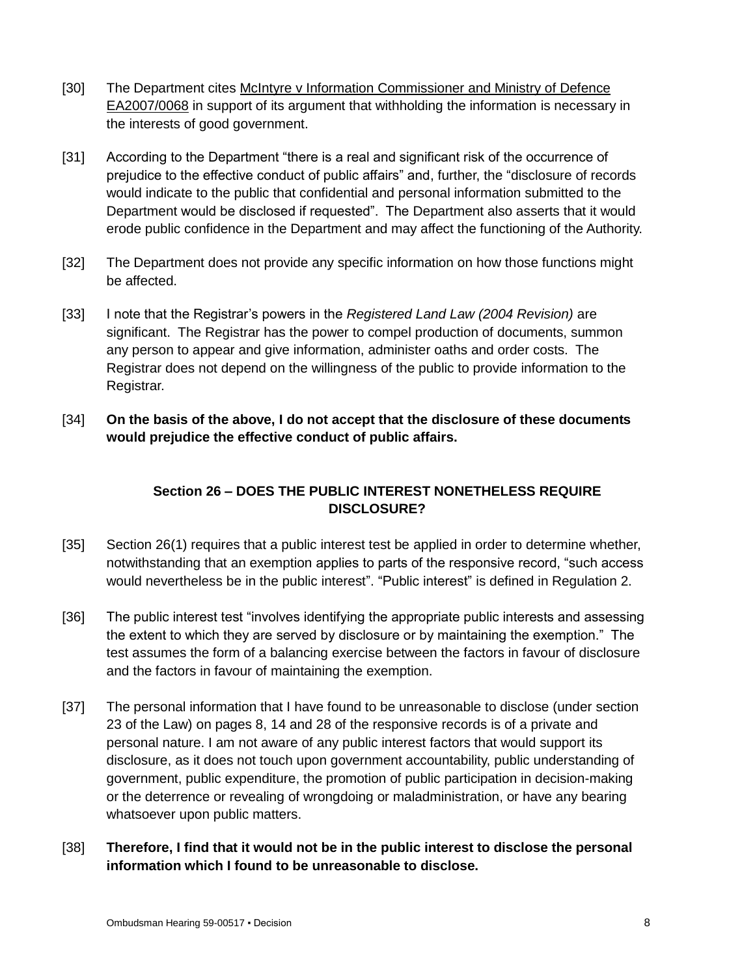- [30] The Department cites McIntyre v Information Commissioner and Ministry of Defence EA2007/0068 in support of its argument that withholding the information is necessary in the interests of good government.
- [31] According to the Department "there is a real and significant risk of the occurrence of prejudice to the effective conduct of public affairs" and, further, the "disclosure of records would indicate to the public that confidential and personal information submitted to the Department would be disclosed if requested". The Department also asserts that it would erode public confidence in the Department and may affect the functioning of the Authority.
- [32] The Department does not provide any specific information on how those functions might be affected.
- [33] I note that the Registrar's powers in the *Registered Land Law (2004 Revision)* are significant. The Registrar has the power to compel production of documents, summon any person to appear and give information, administer oaths and order costs. The Registrar does not depend on the willingness of the public to provide information to the Registrar.
- [34] **On the basis of the above, I do not accept that the disclosure of these documents would prejudice the effective conduct of public affairs.**

## **Section 26 – DOES THE PUBLIC INTEREST NONETHELESS REQUIRE DISCLOSURE?**

- [35] Section 26(1) requires that a public interest test be applied in order to determine whether, notwithstanding that an exemption applies to parts of the responsive record, "such access would nevertheless be in the public interest". "Public interest" is defined in Regulation 2.
- [36] The public interest test "involves identifying the appropriate public interests and assessing the extent to which they are served by disclosure or by maintaining the exemption." The test assumes the form of a balancing exercise between the factors in favour of disclosure and the factors in favour of maintaining the exemption.
- [37] The personal information that I have found to be unreasonable to disclose (under section 23 of the Law) on pages 8, 14 and 28 of the responsive records is of a private and personal nature. I am not aware of any public interest factors that would support its disclosure, as it does not touch upon government accountability, public understanding of government, public expenditure, the promotion of public participation in decision-making or the deterrence or revealing of wrongdoing or maladministration, or have any bearing whatsoever upon public matters.
- [38] **Therefore, I find that it would not be in the public interest to disclose the personal information which I found to be unreasonable to disclose.**